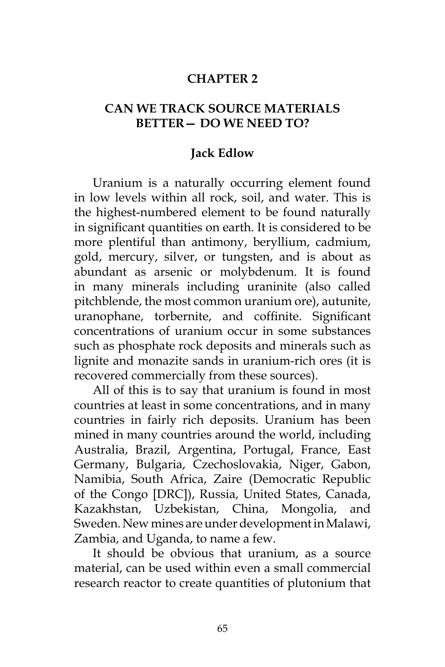## **CHAPTER 2**

## **CAN WE TRACK SOURCE MATERIALS BETTER— DO WE NEED TO?**

## **Jack Edlow**

Uranium is a naturally occurring element found in low levels within all rock, soil, and water. This is the highest-numbered element to be found naturally in significant quantities on earth. It is considered to be more plentiful than antimony, beryllium, cadmium, gold, mercury, silver, or tungsten, and is about as abundant as arsenic or molybdenum. It is found in many minerals including uraninite (also called pitchblende, the most common uranium ore), autunite, uranophane, torbernite, and coffinite. Significant concentrations of uranium occur in some substances such as phosphate rock deposits and minerals such as lignite and monazite sands in uranium-rich ores (it is recovered commercially from these sources).

All of this is to say that uranium is found in most countries at least in some concentrations, and in many countries in fairly rich deposits. Uranium has been mined in many countries around the world, including Australia, Brazil, Argentina, Portugal, France, East Germany, Bulgaria, Czechoslovakia, Niger, Gabon, Namibia, South Africa, Zaire (Democratic Republic of the Congo [DRC]), Russia, United States, Canada, Kazakhstan, Uzbekistan, China, Mongolia, and Sweden. New mines are under development in Malawi, Zambia, and Uganda, to name a few.

It should be obvious that uranium, as a source material, can be used within even a small commercial research reactor to create quantities of plutonium that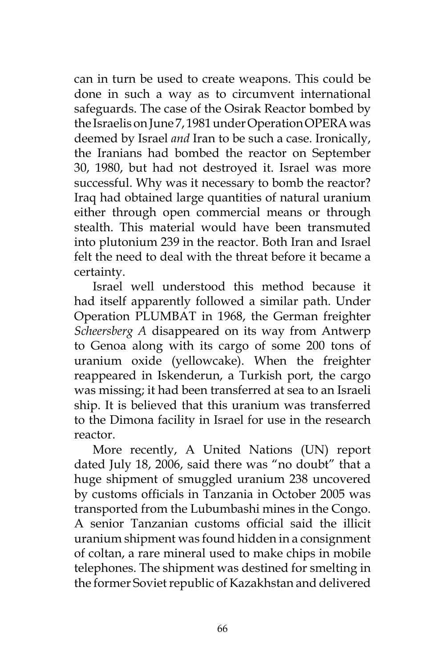can in turn be used to create weapons. This could be done in such a way as to circumvent international safeguards. The case of the Osirak Reactor bombed by the Israelis on June 7, 1981 under Operation OPERA was deemed by Israel *and* Iran to be such a case. Ironically, the Iranians had bombed the reactor on September 30, 1980, but had not destroyed it. Israel was more successful. Why was it necessary to bomb the reactor? Iraq had obtained large quantities of natural uranium either through open commercial means or through stealth. This material would have been transmuted into plutonium 239 in the reactor. Both Iran and Israel felt the need to deal with the threat before it became a certainty.

Israel well understood this method because it had itself apparently followed a similar path. Under Operation PLUMBAT in 1968, the German freighter *Scheersberg A* disappeared on its way from Antwerp to Genoa along with its cargo of some 200 tons of uranium oxide (yellowcake). When the freighter reappeared in Iskenderun, a Turkish port, the cargo was missing; it had been transferred at sea to an Israeli ship. It is believed that this uranium was transferred to the Dimona facility in Israel for use in the research reactor.

More recently, A United Nations (UN) report dated July 18, 2006, said there was "no doubt" that a huge shipment of smuggled uranium 238 uncovered by customs officials in Tanzania in October 2005 was transported from the Lubumbashi mines in the Congo. A senior Tanzanian customs official said the illicit uranium shipment was found hidden in a consignment of coltan, a rare mineral used to make chips in mobile telephones. The shipment was destined for smelting in the former Soviet republic of Kazakhstan and delivered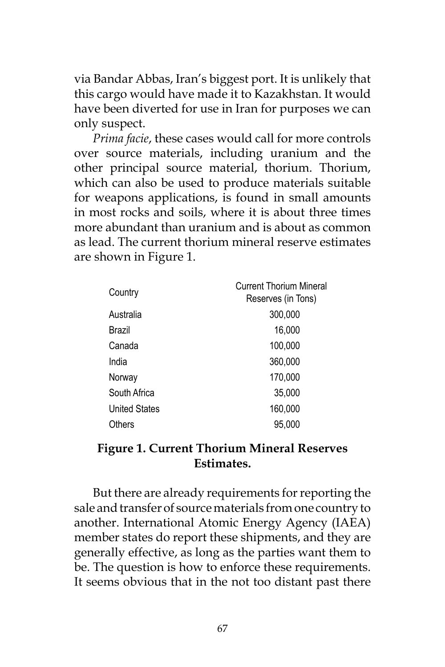via Bandar Abbas, Iran's biggest port. It is unlikely that this cargo would have made it to Kazakhstan. It would have been diverted for use in Iran for purposes we can only suspect.

*Prima facie*, these cases would call for more controls over source materials, including uranium and the other principal source material, thorium. Thorium, which can also be used to produce materials suitable for weapons applications, is found in small amounts in most rocks and soils, where it is about three times more abundant than uranium and is about as common as lead. The current thorium mineral reserve estimates are shown in Figure 1.

| Country              | <b>Current Thorium Mineral</b><br>Reserves (in Tons) |
|----------------------|------------------------------------------------------|
| Australia            | 300,000                                              |
| Brazil               | 16,000                                               |
| Canada               | 100,000                                              |
| India                | 360,000                                              |
| Norway               | 170,000                                              |
| South Africa         | 35,000                                               |
| <b>United States</b> | 160,000                                              |
| Others               | 95.000                                               |

## **Figure 1. Current Thorium Mineral Reserves Estimates.**

But there are already requirements for reporting the sale and transfer of source materials from one country to another. International Atomic Energy Agency (IAEA) member states do report these shipments, and they are generally effective, as long as the parties want them to be. The question is how to enforce these requirements. It seems obvious that in the not too distant past there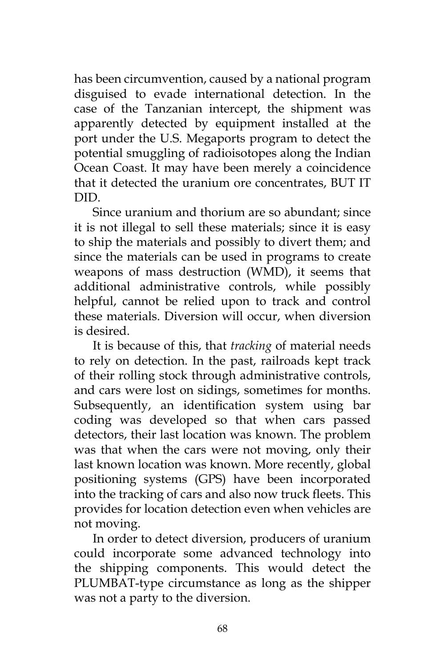has been circumvention, caused by a national program disguised to evade international detection. In the case of the Tanzanian intercept, the shipment was apparently detected by equipment installed at the port under the U.S. Megaports program to detect the potential smuggling of radioisotopes along the Indian Ocean Coast. It may have been merely a coincidence that it detected the uranium ore concentrates, BUT IT DID.

Since uranium and thorium are so abundant; since it is not illegal to sell these materials; since it is easy to ship the materials and possibly to divert them; and since the materials can be used in programs to create weapons of mass destruction (WMD), it seems that additional administrative controls, while possibly helpful, cannot be relied upon to track and control these materials. Diversion will occur, when diversion is desired.

It is because of this, that *tracking* of material needs to rely on detection. In the past, railroads kept track of their rolling stock through administrative controls, and cars were lost on sidings, sometimes for months. Subsequently, an identification system using bar coding was developed so that when cars passed detectors, their last location was known. The problem was that when the cars were not moving, only their last known location was known. More recently, global positioning systems (GPS) have been incorporated into the tracking of cars and also now truck fleets. This provides for location detection even when vehicles are not moving.

In order to detect diversion, producers of uranium could incorporate some advanced technology into the shipping components. This would detect the PLUMBAT-type circumstance as long as the shipper was not a party to the diversion.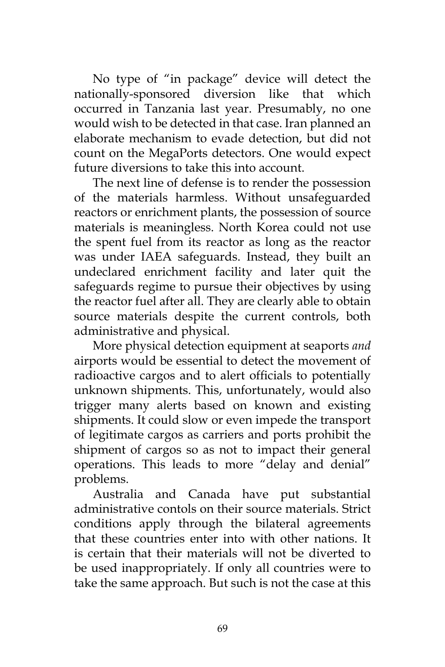No type of "in package" device will detect the nationally-sponsored diversion like that which occurred in Tanzania last year. Presumably, no one would wish to be detected in that case. Iran planned an elaborate mechanism to evade detection, but did not count on the MegaPorts detectors. One would expect future diversions to take this into account.

The next line of defense is to render the possession of the materials harmless. Without unsafeguarded reactors or enrichment plants, the possession of source materials is meaningless. North Korea could not use the spent fuel from its reactor as long as the reactor was under IAEA safeguards. Instead, they built an undeclared enrichment facility and later quit the safeguards regime to pursue their objectives by using the reactor fuel after all. They are clearly able to obtain source materials despite the current controls, both administrative and physical.

More physical detection equipment at seaports *and* airports would be essential to detect the movement of radioactive cargos and to alert officials to potentially unknown shipments. This, unfortunately, would also trigger many alerts based on known and existing shipments. It could slow or even impede the transport of legitimate cargos as carriers and ports prohibit the shipment of cargos so as not to impact their general operations. This leads to more "delay and denial" problems.

Australia and Canada have put substantial administrative contols on their source materials. Strict conditions apply through the bilateral agreements that these countries enter into with other nations. It is certain that their materials will not be diverted to be used inappropriately. If only all countries were to take the same approach. But such is not the case at this